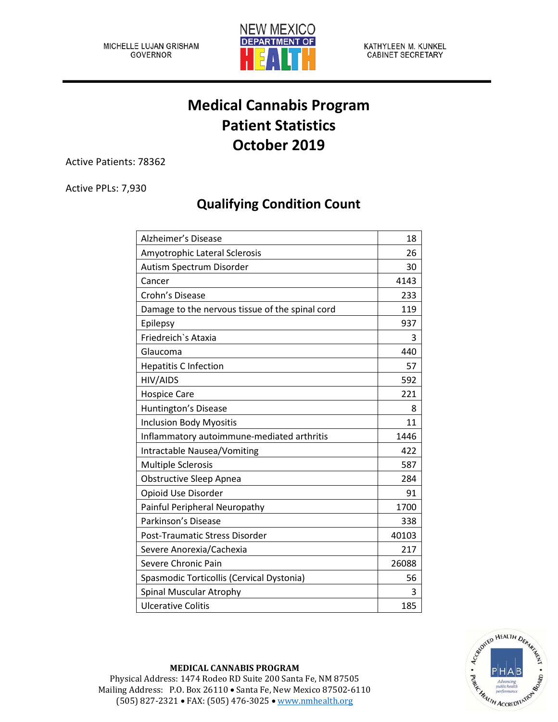

KATHYLEEN M. KUNKEL **CABINET SECRETARY** 

## **Medical Cannabis Program Patient Statistics October 2019**

Active Patients: 78362

Active PPLs: 7,930

## **Qualifying Condition Count**

| Alzheimer's Disease                             | 18    |
|-------------------------------------------------|-------|
| Amyotrophic Lateral Sclerosis                   | 26    |
| Autism Spectrum Disorder                        | 30    |
| Cancer                                          | 4143  |
| Crohn's Disease                                 | 233   |
| Damage to the nervous tissue of the spinal cord | 119   |
| Epilepsy                                        | 937   |
| Friedreich's Ataxia                             | 3     |
| Glaucoma                                        | 440   |
| <b>Hepatitis C Infection</b>                    | 57    |
| HIV/AIDS                                        | 592   |
| <b>Hospice Care</b>                             | 221   |
| Huntington's Disease                            | 8     |
| <b>Inclusion Body Myositis</b>                  | 11    |
| Inflammatory autoimmune-mediated arthritis      | 1446  |
| Intractable Nausea/Vomiting                     | 422   |
| <b>Multiple Sclerosis</b>                       | 587   |
| <b>Obstructive Sleep Apnea</b>                  | 284   |
| Opioid Use Disorder                             | 91    |
| Painful Peripheral Neuropathy                   | 1700  |
| Parkinson's Disease                             | 338   |
| Post-Traumatic Stress Disorder                  | 40103 |
| Severe Anorexia/Cachexia                        | 217   |
| Severe Chronic Pain                             | 26088 |
| Spasmodic Torticollis (Cervical Dystonia)       | 56    |
| <b>Spinal Muscular Atrophy</b>                  | 3     |
| <b>Ulcerative Colitis</b>                       | 185   |



## **MEDICAL CANNABIS PROGRAM**

Physical Address: 1474 Rodeo RD Suite 200 Santa Fe, NM 87505 Mailing Address: P.O. Box 26110 • Santa Fe, New Mexico 87502-6110 (505) 827-2321 • FAX: (505) 476-3025 • [www.nmhealth.org](http://www.nmhealth.org/)